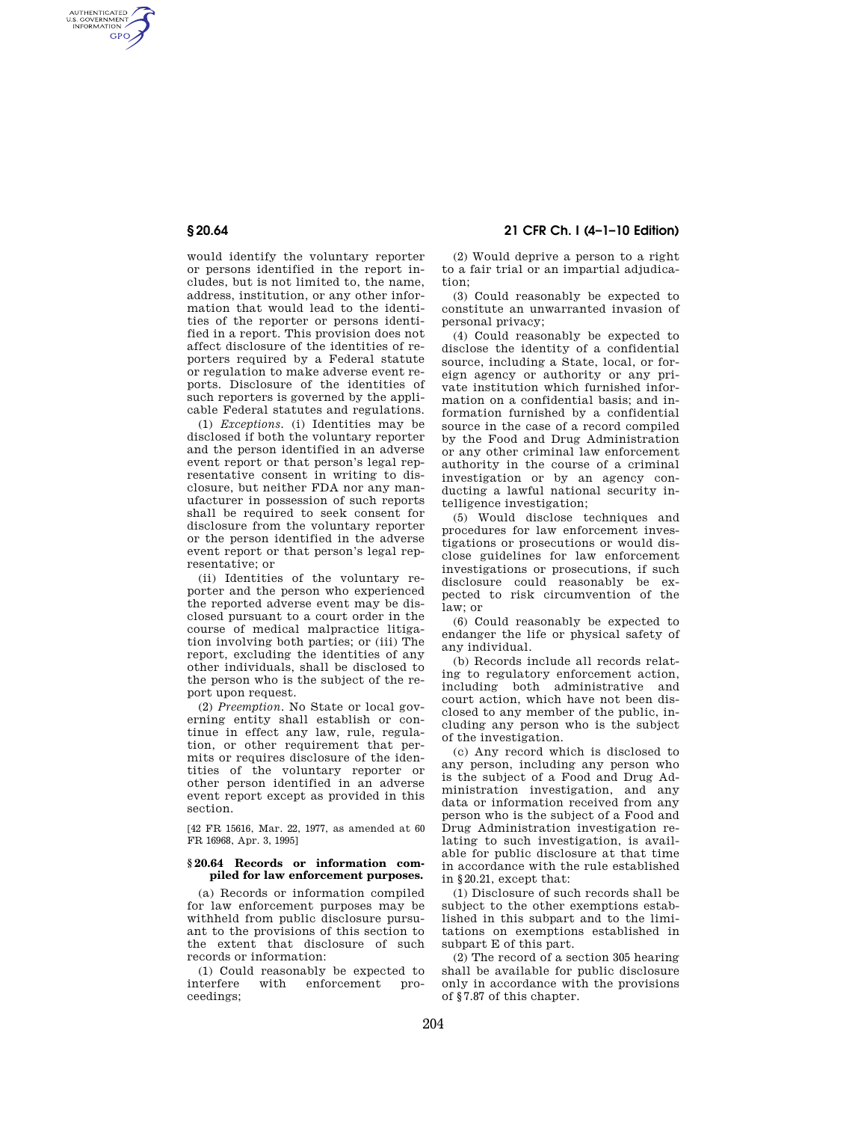AUTHENTICATED<br>U.S. GOVERNMENT<br>INFORMATION GPO

> would identify the voluntary reporter or persons identified in the report includes, but is not limited to, the name, address, institution, or any other information that would lead to the identities of the reporter or persons identified in a report. This provision does not affect disclosure of the identities of reporters required by a Federal statute or regulation to make adverse event reports. Disclosure of the identities of such reporters is governed by the applicable Federal statutes and regulations.

> (1) *Exceptions.* (i) Identities may be disclosed if both the voluntary reporter and the person identified in an adverse event report or that person's legal representative consent in writing to disclosure, but neither FDA nor any manufacturer in possession of such reports shall be required to seek consent for disclosure from the voluntary reporter or the person identified in the adverse event report or that person's legal representative; or

> (ii) Identities of the voluntary reporter and the person who experienced the reported adverse event may be disclosed pursuant to a court order in the course of medical malpractice litigation involving both parties; or (iii) The report, excluding the identities of any other individuals, shall be disclosed to the person who is the subject of the report upon request.

> (2) *Preemption.* No State or local governing entity shall establish or continue in effect any law, rule, regulation, or other requirement that permits or requires disclosure of the identities of the voluntary reporter or other person identified in an adverse event report except as provided in this section.

[42 FR 15616, Mar. 22, 1977, as amended at 60 FR 16968, Apr. 3, 1995]

#### **§ 20.64 Records or information compiled for law enforcement purposes.**

(a) Records or information compiled for law enforcement purposes may be withheld from public disclosure pursuant to the provisions of this section to the extent that disclosure of such records or information:

(1) Could reasonably be expected to with enforcement proceedings;

**§ 20.64 21 CFR Ch. I (4–1–10 Edition)** 

(2) Would deprive a person to a right to a fair trial or an impartial adjudication;

(3) Could reasonably be expected to constitute an unwarranted invasion of personal privacy;

(4) Could reasonably be expected to disclose the identity of a confidential source, including a State, local, or foreign agency or authority or any private institution which furnished information on a confidential basis; and information furnished by a confidential source in the case of a record compiled by the Food and Drug Administration or any other criminal law enforcement authority in the course of a criminal investigation or by an agency conducting a lawful national security intelligence investigation;

(5) Would disclose techniques and procedures for law enforcement investigations or prosecutions or would disclose guidelines for law enforcement investigations or prosecutions, if such disclosure could reasonably be expected to risk circumvention of the law; or

(6) Could reasonably be expected to endanger the life or physical safety of any individual.

(b) Records include all records relating to regulatory enforcement action, including both administrative and court action, which have not been disclosed to any member of the public, including any person who is the subject of the investigation.

(c) Any record which is disclosed to any person, including any person who is the subject of a Food and Drug Administration investigation, and any data or information received from any person who is the subject of a Food and Drug Administration investigation relating to such investigation, is available for public disclosure at that time in accordance with the rule established in §20.21, except that:

(1) Disclosure of such records shall be subject to the other exemptions established in this subpart and to the limitations on exemptions established in subpart E of this part.

(2) The record of a section 305 hearing shall be available for public disclosure only in accordance with the provisions of §7.87 of this chapter.